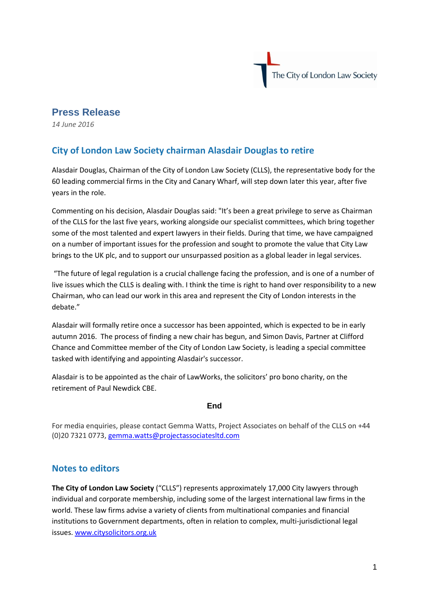

## **Press Release**

*14 June 2016*

## **City of London Law Society chairman Alasdair Douglas to retire**

Alasdair Douglas, Chairman of the City of London Law Society (CLLS), the representative body for the 60 leading commercial firms in the City and Canary Wharf, will step down later this year, after five years in the role.

Commenting on his decision, Alasdair Douglas said: "It's been a great privilege to serve as Chairman of the CLLS for the last five years, working alongside our specialist committees, which bring together some of the most talented and expert lawyers in their fields. During that time, we have campaigned on a number of important issues for the profession and sought to promote the value that City Law brings to the UK plc, and to support our unsurpassed position as a global leader in legal services.

"The future of legal regulation is a crucial challenge facing the profession, and is one of a number of live issues which the CLLS is dealing with. I think the time is right to hand over responsibility to a new Chairman, who can lead our work in this area and represent the City of London interests in the debate."

Alasdair will formally retire once a successor has been appointed, which is expected to be in early autumn 2016. The process of finding a new chair has begun, and Simon Davis, Partner at Clifford Chance and Committee member of the City of London Law Society, is leading a special committee tasked with identifying and appointing Alasdair's successor.

Alasdair is to be appointed as the chair of LawWorks, the solicitors' pro bono charity, on the retirement of Paul Newdick CBE.

## **End**

For media enquiries, please contact Gemma Watts, Project Associates on behalf of the CLLS on +44 (0)20 7321 0773, [gemma.watts@projectassociatesltd.com](mailto:gemma.watts@projectassociatesltd.com)

## **Notes to editors**

**The City of London Law Society** ("CLLS") represents approximately 17,000 City lawyers through individual and corporate membership, including some of the largest international law firms in the world. These law firms advise a variety of clients from multinational companies and financial institutions to Government departments, often in relation to complex, multi-jurisdictional legal issues. [www.citysolicitors.org.uk](http://www.citysolicitors.org.uk/)